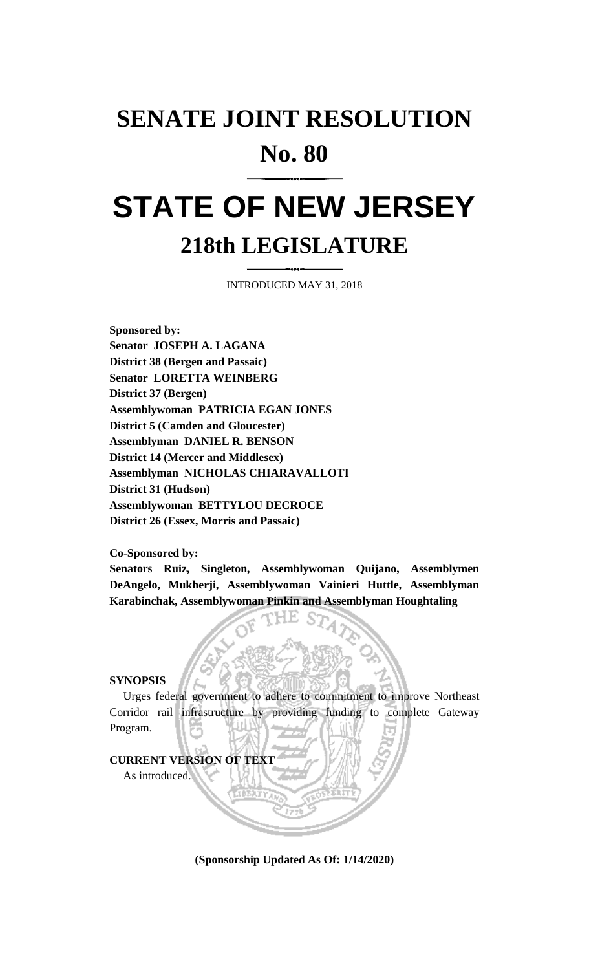## **SENATE JOINT RESOLUTION No. 80**

# **STATE OF NEW JERSEY 218th LEGISLATURE**

INTRODUCED MAY 31, 2018

**Sponsored by: Senator JOSEPH A. LAGANA District 38 (Bergen and Passaic) Senator LORETTA WEINBERG District 37 (Bergen) Assemblywoman PATRICIA EGAN JONES District 5 (Camden and Gloucester) Assemblyman DANIEL R. BENSON District 14 (Mercer and Middlesex) Assemblyman NICHOLAS CHIARAVALLOTI District 31 (Hudson) Assemblywoman BETTYLOU DECROCE District 26 (Essex, Morris and Passaic)**

**Co-Sponsored by:**

**Senators Ruiz, Singleton, Assemblywoman Quijano, Assemblymen DeAngelo, Mukherji, Assemblywoman Vainieri Huttle, Assemblyman Karabinchak, Assemblywoman Pinkin and Assemblyman Houghtaling**

#### **SYNOPSIS**

Urges federal government to adhere to commitment to improve Northeast Corridor rail infrastructure by providing funding to complete Gateway Program.

#### **CURRENT VERSION OF TEXT**

As introduced.

**(Sponsorship Updated As Of: 1/14/2020)**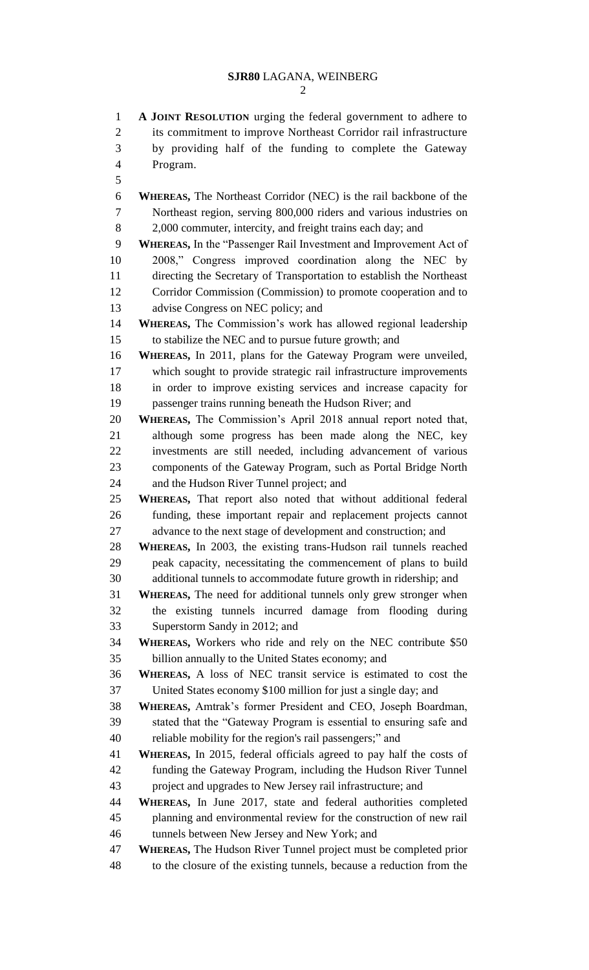```
2
```
 **A JOINT RESOLUTION** urging the federal government to adhere to its commitment to improve Northeast Corridor rail infrastructure by providing half of the funding to complete the Gateway Program. **WHEREAS,** The Northeast Corridor (NEC) is the rail backbone of the Northeast region, serving 800,000 riders and various industries on 8 2,000 commuter, intercity, and freight trains each day; and **WHEREAS,** In the "Passenger Rail Investment and Improvement Act of 2008," Congress improved coordination along the NEC by directing the Secretary of Transportation to establish the Northeast Corridor Commission (Commission) to promote cooperation and to advise Congress on NEC policy; and **WHEREAS,** The Commission's work has allowed regional leadership to stabilize the NEC and to pursue future growth; and **WHEREAS,** In 2011, plans for the Gateway Program were unveiled, which sought to provide strategic rail infrastructure improvements in order to improve existing services and increase capacity for passenger trains running beneath the Hudson River; and **WHEREAS,** The Commission's April 2018 annual report noted that, although some progress has been made along the NEC, key investments are still needed, including advancement of various components of the Gateway Program, such as Portal Bridge North and the Hudson River Tunnel project; and **WHEREAS,** That report also noted that without additional federal funding, these important repair and replacement projects cannot advance to the next stage of development and construction; and **WHEREAS,** In 2003, the existing trans-Hudson rail tunnels reached peak capacity, necessitating the commencement of plans to build additional tunnels to accommodate future growth in ridership; and **WHEREAS,** The need for additional tunnels only grew stronger when the existing tunnels incurred damage from flooding during Superstorm Sandy in 2012; and **WHEREAS,** Workers who ride and rely on the NEC contribute \$50 billion annually to the United States economy; and **WHEREAS,** A loss of NEC transit service is estimated to cost the United States economy \$100 million for just a single day; and **WHEREAS,** Amtrak's former President and CEO, Joseph Boardman, stated that the "Gateway Program is essential to ensuring safe and reliable mobility for the region's rail passengers;" and **WHEREAS,** In 2015, federal officials agreed to pay half the costs of funding the Gateway Program, including the Hudson River Tunnel project and upgrades to New Jersey rail infrastructure; and **WHEREAS,** In June 2017, state and federal authorities completed planning and environmental review for the construction of new rail tunnels between New Jersey and New York; and **WHEREAS,** The Hudson River Tunnel project must be completed prior to the closure of the existing tunnels, because a reduction from the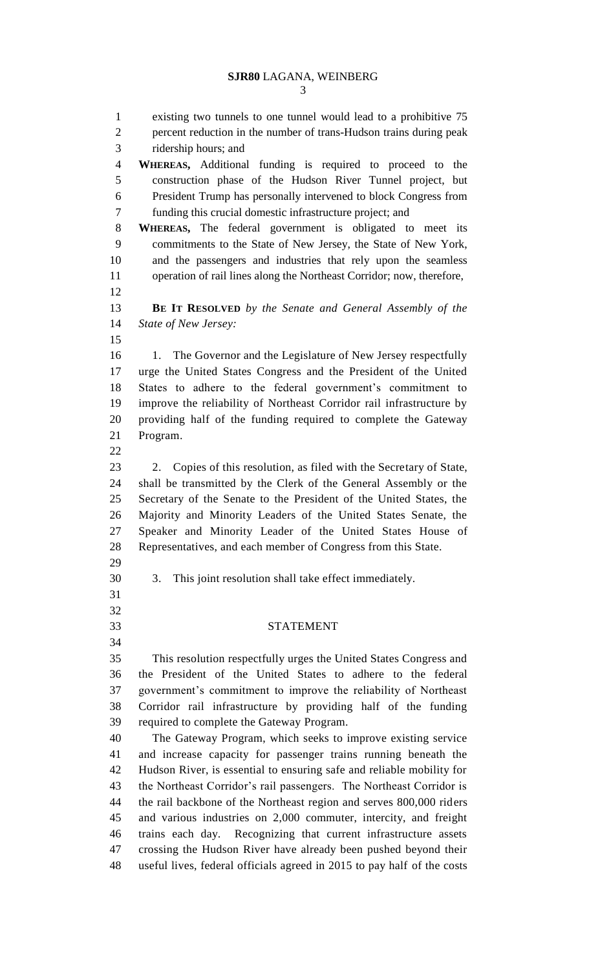#### **SJR80** LAGANA, WEINBERG

 existing two tunnels to one tunnel would lead to a prohibitive 75 percent reduction in the number of trans-Hudson trains during peak ridership hours; and **WHEREAS,** Additional funding is required to proceed to the construction phase of the Hudson River Tunnel project, but President Trump has personally intervened to block Congress from funding this crucial domestic infrastructure project; and **WHEREAS,** The federal government is obligated to meet its commitments to the State of New Jersey, the State of New York, and the passengers and industries that rely upon the seamless operation of rail lines along the Northeast Corridor; now, therefore, **BE IT RESOLVED** *by the Senate and General Assembly of the State of New Jersey:* 16 1. The Governor and the Legislature of New Jersey respectfully urge the United States Congress and the President of the United States to adhere to the federal government's commitment to improve the reliability of Northeast Corridor rail infrastructure by providing half of the funding required to complete the Gateway Program. 2. Copies of this resolution, as filed with the Secretary of State, shall be transmitted by the Clerk of the General Assembly or the Secretary of the Senate to the President of the United States, the Majority and Minority Leaders of the United States Senate, the Speaker and Minority Leader of the United States House of Representatives, and each member of Congress from this State. 3. This joint resolution shall take effect immediately. STATEMENT This resolution respectfully urges the United States Congress and the President of the United States to adhere to the federal government's commitment to improve the reliability of Northeast Corridor rail infrastructure by providing half of the funding required to complete the Gateway Program. The Gateway Program, which seeks to improve existing service and increase capacity for passenger trains running beneath the Hudson River, is essential to ensuring safe and reliable mobility for the Northeast Corridor's rail passengers. The Northeast Corridor is the rail backbone of the Northeast region and serves 800,000 riders and various industries on 2,000 commuter, intercity, and freight trains each day. Recognizing that current infrastructure assets crossing the Hudson River have already been pushed beyond their useful lives, federal officials agreed in 2015 to pay half of the costs